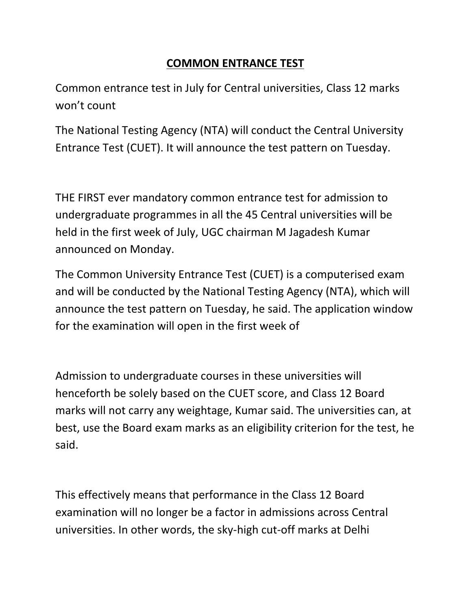## **COMMON ENTRANCE TEST**

Common entrance test in July for Central universities, Class 12 marks won't count

The National Testing Agency (NTA) will conduct the Central University Entrance Test (CUET). It will announce the test pattern on Tuesday.

THE FIRST ever mandatory common entrance test for admission to undergraduate programmes in all the 45 Central universities will be held in the first week of July, UGC chairman M Jagadesh Kumar announced on Monday.

The Common University Entrance Test (CUET) is a computerised exam and will be conducted by the National Testing Agency (NTA), which will announce the test pattern on Tuesday, he said. The application window for the examination will open in the first week of

Admission to undergraduate courses in these universities will henceforth be solely based on the CUET score, and Class 12 Board marks will not carry any weightage, Kumar said. The universities can, at best, use the Board exam marks as an eligibility criterion for the test, he said.

This effectively means that performance in the Class 12 Board examination will no longer be a factor in admissions across Central universities. In other words, the sky-high cut-off marks at Delhi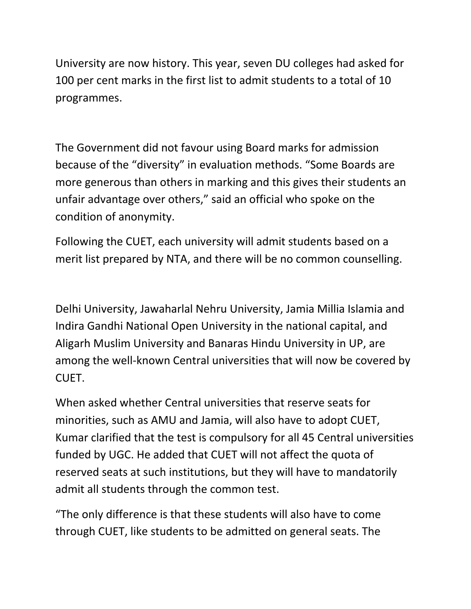University are now history. This year, seven DU colleges had asked for 100 per cent marks in the first list to admit students to a total of 10 programmes.

The Government did not favour using Board marks for admission because of the "diversity" in evaluation methods. "Some Boards are more generous than others in marking and this gives their students an unfair advantage over others," said an official who spoke on the condition of anonymity.

Following the CUET, each university will admit students based on a merit list prepared by NTA, and there will be no common counselling.

Delhi University, Jawaharlal Nehru University, Jamia Millia Islamia and Indira Gandhi National Open University in the national capital, and Aligarh Muslim University and Banaras Hindu University in UP, are among the well-known Central universities that will now be covered by CUET.

When asked whether Central universities that reserve seats for minorities, such as AMU and Jamia, will also have to adopt CUET, Kumar clarified that the test is compulsory for all 45 Central universities funded by UGC. He added that CUET will not affect the quota of reserved seats at such institutions, but they will have to mandatorily admit all students through the common test.

"The only difference is that these students will also have to come through CUET, like students to be admitted on general seats. The